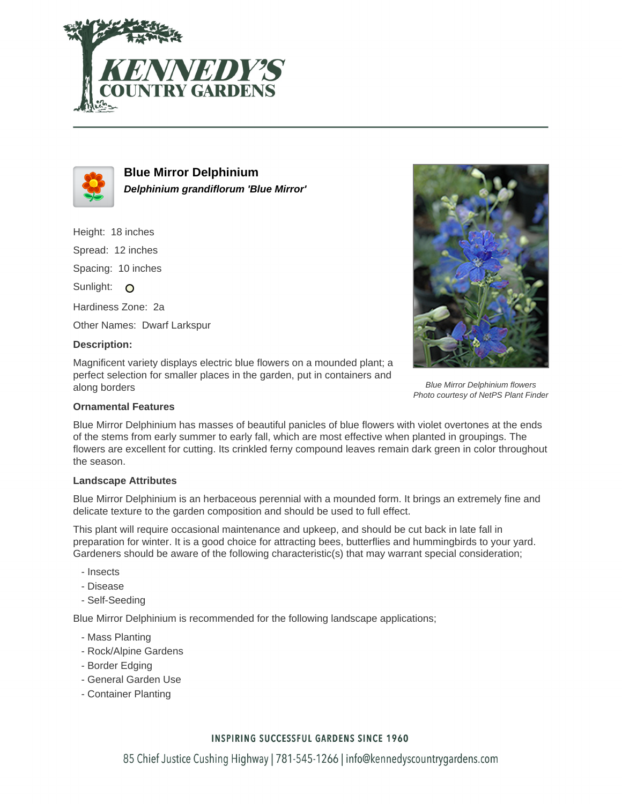



**Blue Mirror Delphinium Delphinium grandiflorum 'Blue Mirror'**

Height: 18 inches

Spread: 12 inches

Spacing: 10 inches

Sunlight: O

Hardiness Zone: 2a

Other Names: Dwarf Larkspur

## **Description:**

Magnificent variety displays electric blue flowers on a mounded plant; a perfect selection for smaller places in the garden, put in containers and along borders



Blue Mirror Delphinium has masses of beautiful panicles of blue flowers with violet overtones at the ends of the stems from early summer to early fall, which are most effective when planted in groupings. The flowers are excellent for cutting. Its crinkled ferny compound leaves remain dark green in color throughout the season.

## **Landscape Attributes**

Blue Mirror Delphinium is an herbaceous perennial with a mounded form. It brings an extremely fine and delicate texture to the garden composition and should be used to full effect.

This plant will require occasional maintenance and upkeep, and should be cut back in late fall in preparation for winter. It is a good choice for attracting bees, butterflies and hummingbirds to your yard. Gardeners should be aware of the following characteristic(s) that may warrant special consideration;

- Insects
- Disease
- Self-Seeding

Blue Mirror Delphinium is recommended for the following landscape applications;

- Mass Planting
- Rock/Alpine Gardens
- Border Edging
- General Garden Use
- Container Planting

## **INSPIRING SUCCESSFUL GARDENS SINCE 1960**

85 Chief Justice Cushing Highway | 781-545-1266 | info@kennedyscountrygardens.com



Blue Mirror Delphinium flowers Photo courtesy of NetPS Plant Finder